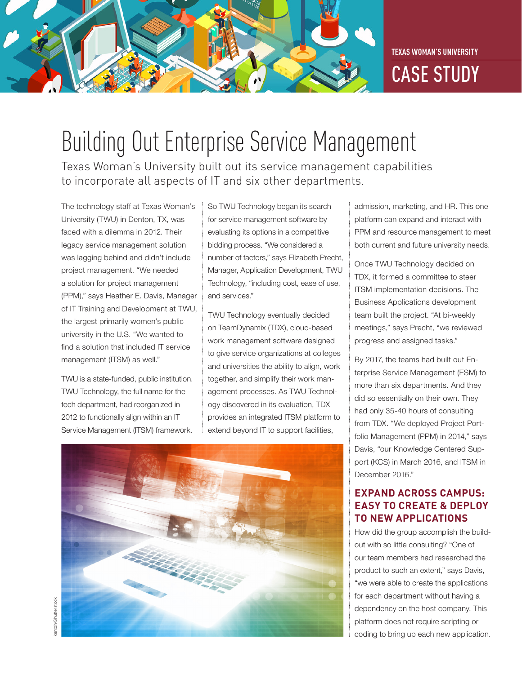**TEXAS WOMAN'S UNIVERSITY**



# Building Out Enterprise Service Management

Texas Woman's University built out its service management capabilities to incorporate all aspects of IT and six other departments.

The technology staff at Texas Woman's University (TWU) in Denton, TX, was faced with a dilemma in 2012. Their legacy service management solution was lagging behind and didn't include project management. "We needed a solution for project management (PPM)," says Heather E. Davis, Manager of IT Training and Development at TWU, the largest primarily women's public university in the U.S. "We wanted to find a solution that included IT service management (ITSM) as well."

TWU is a state-funded, public institution. TWU Technology, the full name for the tech department, had reorganized in 2012 to functionally align within an IT Service Management (ITSM) framework.

So TWU Technology began its search for service management software by evaluating its options in a competitive bidding process. "We considered a number of factors," says Elizabeth Precht, Manager, Application Development, TWU Technology, "including cost, ease of use, and services."

TWU Technology eventually decided on TeamDynamix (TDX), cloud-based work management software designed to give service organizations at colleges and universities the ability to align, work together, and simplify their work management processes. As TWU Technology discovered in its evaluation, TDX provides an integrated ITSM platform to extend beyond IT to support facilities,



admission, marketing, and HR. This one platform can expand and interact with PPM and resource management to meet both current and future university needs.

Once TWU Technology decided on TDX, it formed a committee to steer ITSM implementation decisions. The Business Applications development team built the project. "At bi-weekly meetings," says Precht, "we reviewed progress and assigned tasks."

By 2017, the teams had built out Enterprise Service Management (ESM) to more than six departments. And they did so essentially on their own. They had only 35-40 hours of consulting from TDX. "We deployed Project Portfolio Management (PPM) in 2014," says Davis, "our Knowledge Centered Support (KCS) in March 2016, and ITSM in December 2016."

### **EXPAND ACROSS CAMPUS: EASY TO CREATE & DEPLOY TO NEW APPLICATIONS**

How did the group accomplish the buildout with so little consulting? "One of our team members had researched the product to such an extent," says Davis, "we were able to create the applications for each department without having a dependency on the host company. This platform does not require scripting or coding to bring up each new application.